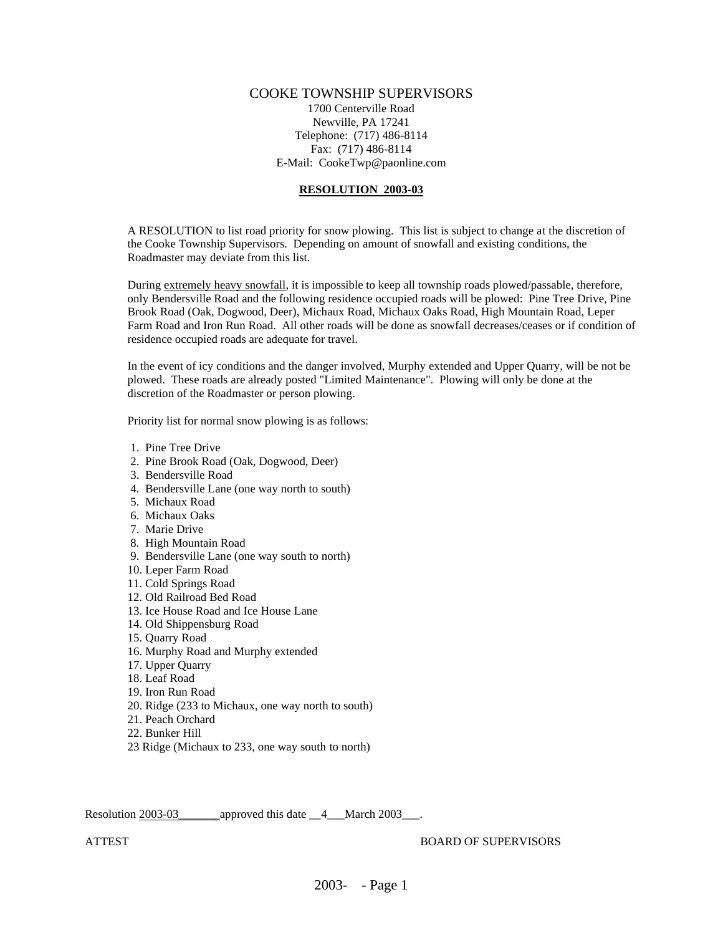## COOKE TOWNSHIP SUPERVISORS

1700 Centerville Road Newville, PA 17241 Telephone: (717) 486-8114 Fax: (717) 486-8114 E-Mail: CookeTwp@paonline.com

## **RESOLUTION 2003-03**

A RESOLUTION to list road priority for snow plowing. This list is subject to change at the discretion of the Cooke Township Supervisors. Depending on amount of snowfall and existing conditions, the Roadmaster may deviate from this list.

During extremely heavy snowfall, it is impossible to keep all township roads plowed/passable, therefore, only Bendersville Road and the following residence occupied roads will be plowed: Pine Tree Drive, Pine Brook Road (Oak, Dogwood, Deer), Michaux Road, Michaux Oaks Road, High Mountain Road, Leper Farm Road and Iron Run Road. All other roads will be done as snowfall decreases/ceases or if condition of residence occupied roads are adequate for travel.

In the event of icy conditions and the danger involved, Murphy extended and Upper Quarry, will be not be plowed. These roads are already posted "Limited Maintenance". Plowing will only be done at the discretion of the Roadmaster or person plowing.

Priority list for normal snow plowing is as follows:

- 1. Pine Tree Drive
- 2. Pine Brook Road (Oak, Dogwood, Deer)
- 3. Bendersville Road
- 4. Bendersville Lane (one way north to south)
- 5. Michaux Road
- 6. Michaux Oaks
- 7. Marie Drive
- 8. High Mountain Road
- 9. Bendersville Lane (one way south to north)
- 10. Leper Farm Road
- 11. Cold Springs Road
- 12. Old Railroad Bed Road
- 13. Ice House Road and Ice House Lane
- 14. Old Shippensburg Road
- 15. Quarry Road
- 16. Murphy Road and Murphy extended
- 17. Upper Quarry
- 18. Leaf Road
- 19. Iron Run Road
- 20. Ridge (233 to Michaux, one way north to south)
- 21. Peach Orchard
- 22. Bunker Hill
- 23 Ridge (Michaux to 233, one way south to north)

Resolution 2003-03\_\_\_\_\_\_\_approved this date \_\_4\_\_\_March 2003\_\_\_.

ATTEST BOARD OF SUPERVISORS